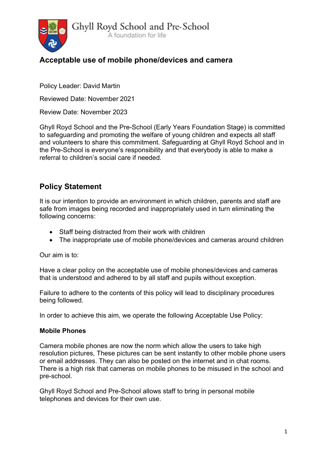

# Acceptable use of mobile phone/devices and camera

Policy Leader: David Martin

Reviewed Date: November 2021

Review Date: November 2023

Ghyll Royd School and the Pre-School (Early Years Foundation Stage) is committed to safeguarding and promoting the welfare of young children and expects all staff and volunteers to share this commitment. Safeguarding at Ghyll Royd School and in the Pre-School is everyone's responsibility and that everybody is able to make a referral to children's social care if needed.

## Policy Statement

It is our intention to provide an environment in which children, parents and staff are safe from images being recorded and inappropriately used in turn eliminating the following concerns:

- Staff being distracted from their work with children
- The inappropriate use of mobile phone/devices and cameras around children

Our aim is to:

Have a clear policy on the acceptable use of mobile phones/devices and cameras that is understood and adhered to by all staff and pupils without exception.

Failure to adhere to the contents of this policy will lead to disciplinary procedures being followed.

In order to achieve this aim, we operate the following Acceptable Use Policy:

#### Mobile Phones

Camera mobile phones are now the norm which allow the users to take high resolution pictures, These pictures can be sent instantly to other mobile phone users or email addresses. They can also be posted on the internet and in chat rooms. There is a high risk that cameras on mobile phones to be misused in the school and pre-school.

Ghyll Royd School and Pre-School allows staff to bring in personal mobile telephones and devices for their own use.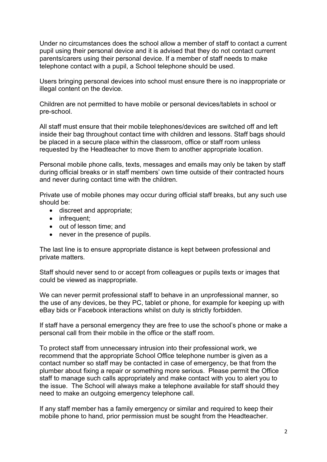Under no circumstances does the school allow a member of staff to contact a current pupil using their personal device and it is advised that they do not contact current parents/carers using their personal device. If a member of staff needs to make telephone contact with a pupil, a School telephone should be used.

Users bringing personal devices into school must ensure there is no inappropriate or illegal content on the device.

Children are not permitted to have mobile or personal devices/tablets in school or pre-school.

All staff must ensure that their mobile telephones/devices are switched off and left inside their bag throughout contact time with children and lessons. Staff bags should be placed in a secure place within the classroom, office or staff room unless requested by the Headteacher to move them to another appropriate location.

Personal mobile phone calls, texts, messages and emails may only be taken by staff during official breaks or in staff members' own time outside of their contracted hours and never during contact time with the children.

Private use of mobile phones may occur during official staff breaks, but any such use should be:

- discreet and appropriate;
- infrequent;
- out of lesson time: and
- never in the presence of pupils.

The last line is to ensure appropriate distance is kept between professional and private matters.

Staff should never send to or accept from colleagues or pupils texts or images that could be viewed as inappropriate.

We can never permit professional staff to behave in an unprofessional manner, so the use of any devices, be they PC, tablet or phone, for example for keeping up with eBay bids or Facebook interactions whilst on duty is strictly forbidden.

If staff have a personal emergency they are free to use the school's phone or make a personal call from their mobile in the office or the staff room.

To protect staff from unnecessary intrusion into their professional work, we recommend that the appropriate School Office telephone number is given as a contact number so staff may be contacted in case of emergency, be that from the plumber about fixing a repair or something more serious. Please permit the Office staff to manage such calls appropriately and make contact with you to alert you to the issue. The School will always make a telephone available for staff should they need to make an outgoing emergency telephone call.

If any staff member has a family emergency or similar and required to keep their mobile phone to hand, prior permission must be sought from the Headteacher.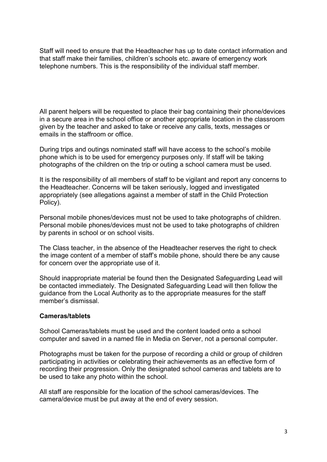Staff will need to ensure that the Headteacher has up to date contact information and that staff make their families, children's schools etc. aware of emergency work telephone numbers. This is the responsibility of the individual staff member.

All parent helpers will be requested to place their bag containing their phone/devices in a secure area in the school office or another appropriate location in the classroom given by the teacher and asked to take or receive any calls, texts, messages or emails in the staffroom or office.

During trips and outings nominated staff will have access to the school's mobile phone which is to be used for emergency purposes only. If staff will be taking photographs of the children on the trip or outing a school camera must be used.

It is the responsibility of all members of staff to be vigilant and report any concerns to the Headteacher. Concerns will be taken seriously, logged and investigated appropriately (see allegations against a member of staff in the Child Protection Policy).

Personal mobile phones/devices must not be used to take photographs of children. Personal mobile phones/devices must not be used to take photographs of children by parents in school or on school visits.

The Class teacher, in the absence of the Headteacher reserves the right to check the image content of a member of staff's mobile phone, should there be any cause for concern over the appropriate use of it.

Should inappropriate material be found then the Designated Safeguarding Lead will be contacted immediately. The Designated Safeguarding Lead will then follow the guidance from the Local Authority as to the appropriate measures for the staff member's dismissal.

#### Cameras/tablets

School Cameras/tablets must be used and the content loaded onto a school computer and saved in a named file in Media on Server, not a personal computer.

Photographs must be taken for the purpose of recording a child or group of children participating in activities or celebrating their achievements as an effective form of recording their progression. Only the designated school cameras and tablets are to be used to take any photo within the school.

All staff are responsible for the location of the school cameras/devices. The camera/device must be put away at the end of every session.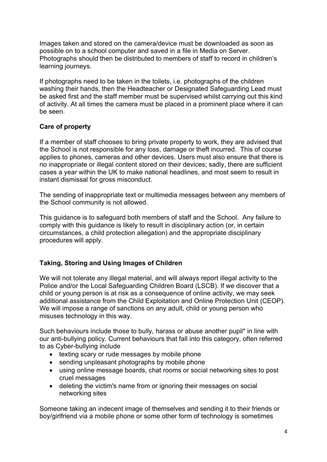Images taken and stored on the camera/device must be downloaded as soon as possible on to a school computer and saved in a file in Media on Server. Photographs should then be distributed to members of staff to record in children's learning journeys.

If photographs need to be taken in the toilets, i.e. photographs of the children washing their hands, then the Headteacher or Designated Safeguarding Lead must be asked first and the staff member must be supervised whilst carrying out this kind of activity. At all times the camera must be placed in a prominent place where it can be seen.

### Care of property

If a member of staff chooses to bring private property to work, they are advised that the School is not responsible for any loss, damage or theft incurred. This of course applies to phones, cameras and other devices. Users must also ensure that there is no inappropriate or illegal content stored on their devices; sadly, there are sufficient cases a year within the UK to make national headlines, and most seem to result in instant dismissal for gross misconduct.

The sending of inappropriate text or multimedia messages between any members of the School community is not allowed.

This guidance is to safeguard both members of staff and the School. Any failure to comply with this guidance is likely to result in disciplinary action (or, in certain circumstances, a child protection allegation) and the appropriate disciplinary procedures will apply.

### Taking, Storing and Using Images of Children

We will not tolerate any illegal material, and will always report illegal activity to the Police and/or the Local Safeguarding Children Board (LSCB). If we discover that a child or young person is at risk as a consequence of online activity, we may seek additional assistance from the Child Exploitation and Online Protection Unit (CEOP). We will impose a range of sanctions on any adult, child or young person who misuses technology in this way.

Such behaviours include those to bully, harass or abuse another pupil\* in line with our anti-bullying policy. Current behaviours that fall into this category, often referred to as Cyber-bullying include

- texting scary or rude messages by mobile phone
- sending unpleasant photographs by mobile phone
- using online message boards, chat rooms or social networking sites to post cruel messages
- deleting the victim's name from or ignoring their messages on social networking sites

Someone taking an indecent image of themselves and sending it to their friends or boy/girlfriend via a mobile phone or some other form of technology is sometimes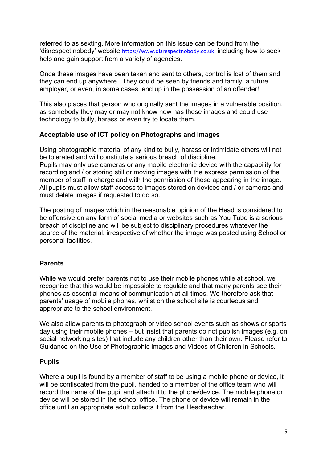referred to as sexting. More information on this issue can be found from the 'disrespect nobody' website https://www.disrespectnobody.co.uk, including how to seek help and gain support from a variety of agencies.

Once these images have been taken and sent to others, control is lost of them and they can end up anywhere. They could be seen by friends and family, a future employer, or even, in some cases, end up in the possession of an offender!

This also places that person who originally sent the images in a vulnerable position, as somebody they may or may not know now has these images and could use technology to bully, harass or even try to locate them.

#### Acceptable use of ICT policy on Photographs and images

Using photographic material of any kind to bully, harass or intimidate others will not be tolerated and will constitute a serious breach of discipline. Pupils may only use cameras or any mobile electronic device with the capability for recording and / or storing still or moving images with the express permission of the member of staff in charge and with the permission of those appearing in the image. All pupils must allow staff access to images stored on devices and / or cameras and must delete images if requested to do so.

The posting of images which in the reasonable opinion of the Head is considered to be offensive on any form of social media or websites such as You Tube is a serious breach of discipline and will be subject to disciplinary procedures whatever the source of the material, irrespective of whether the image was posted using School or personal facilities.

### Parents

While we would prefer parents not to use their mobile phones while at school, we recognise that this would be impossible to regulate and that many parents see their phones as essential means of communication at all times. We therefore ask that parents' usage of mobile phones, whilst on the school site is courteous and appropriate to the school environment.

We also allow parents to photograph or video school events such as shows or sports day using their mobile phones – but insist that parents do not publish images (e.g. on social networking sites) that include any children other than their own. Please refer to Guidance on the Use of Photographic Images and Videos of Children in Schools.

### Pupils

Where a pupil is found by a member of staff to be using a mobile phone or device, it will be confiscated from the pupil, handed to a member of the office team who will record the name of the pupil and attach it to the phone/device. The mobile phone or device will be stored in the school office. The phone or device will remain in the office until an appropriate adult collects it from the Headteacher.